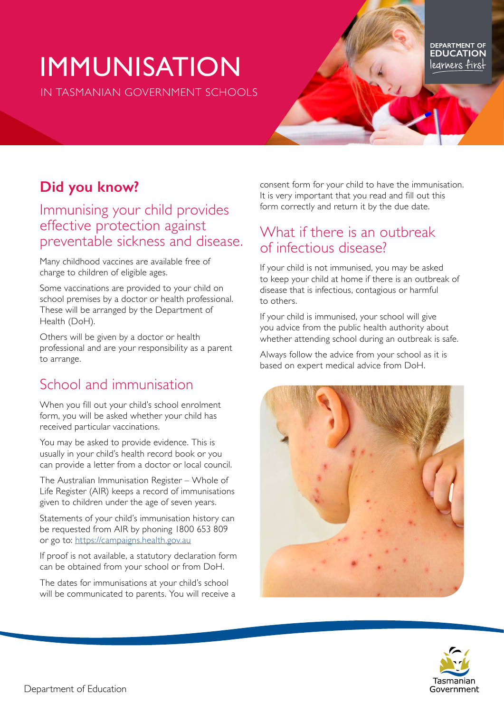# IMMUNISATION

IN TASMANIAN GOVERNMENT SCHOOLS

DEPARTMENT OF legrners first

## **Did you know?**

## Immunising your child provides effective protection against preventable sickness and disease.

Many childhood vaccines are available free of charge to children of eligible ages.

Some vaccinations are provided to your child on school premises by a doctor or health professional. These will be arranged by the Department of Health (DoH).

Others will be given by a doctor or health professional and are your responsibility as a parent to arrange.

# School and immunisation

When you fill out your child's school enrolment form, you will be asked whether your child has received particular vaccinations.

You may be asked to provide evidence. This is usually in your child's health record book or you can provide a letter from a doctor or local council.

The Australian Immunisation Register – Whole of Life Register (AIR) keeps a record of immunisations given to children under the age of seven years.

Statements of your child's immunisation history can be requested from AIR by phoning 1800 653 809 or go to: <https://campaigns.health.gov.au>

If proof is not available, a statutory declaration form can be obtained from your school or from DoH.

The dates for immunisations at your child's school will be communicated to parents. You will receive a consent form for your child to have the immunisation. It is very important that you read and fill out this form correctly and return it by the due date.

## What if there is an outbreak of infectious disease?

If your child is not immunised, you may be asked to keep your child at home if there is an outbreak of disease that is infectious, contagious or harmful to others.

If your child is immunised, your school will give you advice from the public health authority about whether attending school during an outbreak is safe.

Always follow the advice from your school as it is based on expert medical advice from DoH.